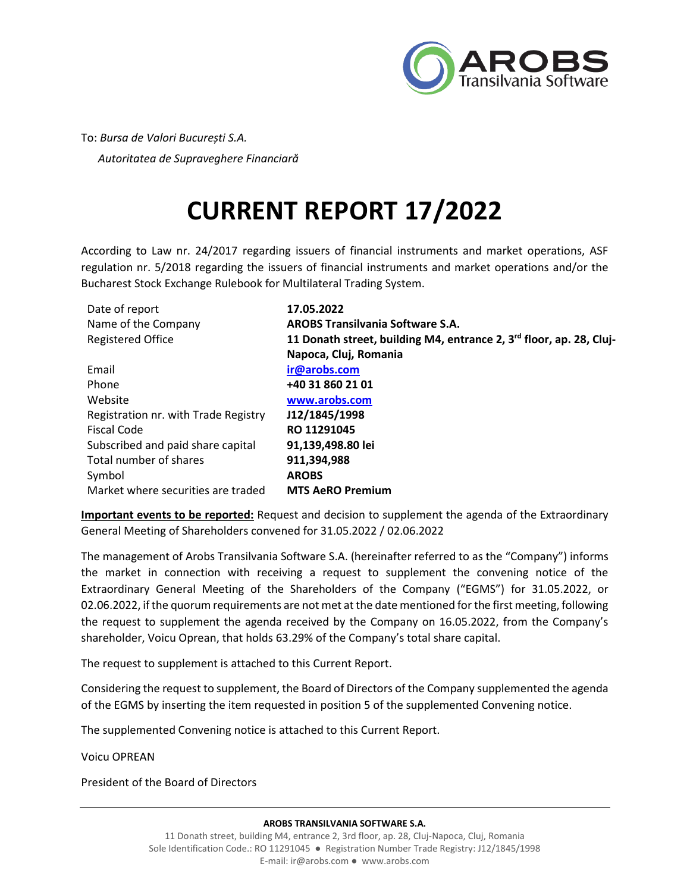

To: *Bursa de Valori București S.A. Autoritatea de Supraveghere Financiară* 

# **CURRENT REPORT 17/2022**

According to Law nr. 24/2017 regarding issuers of financial instruments and market operations, ASF regulation nr. 5/2018 regarding the issuers of financial instruments and market operations and/or the Bucharest Stock Exchange Rulebook for Multilateral Trading System.

| Date of report                       | 17.05.2022                                                                      |
|--------------------------------------|---------------------------------------------------------------------------------|
| Name of the Company                  | <b>AROBS Transilvania Software S.A.</b>                                         |
| <b>Registered Office</b>             | 11 Donath street, building M4, entrance 2, 3 <sup>rd</sup> floor, ap. 28, Cluj- |
|                                      | Napoca, Cluj, Romania                                                           |
| Email                                | ir@arobs.com                                                                    |
| Phone                                | +40 31 860 21 01                                                                |
| Website                              | www.arobs.com                                                                   |
| Registration nr. with Trade Registry | J12/1845/1998                                                                   |
| <b>Fiscal Code</b>                   | RO 11291045                                                                     |
| Subscribed and paid share capital    | 91,139,498.80 lei                                                               |
| Total number of shares               | 911,394,988                                                                     |
| Symbol                               | <b>AROBS</b>                                                                    |
| Market where securities are traded   | <b>MTS AeRO Premium</b>                                                         |

**Important events to be reported:** Request and decision to supplement the agenda of the Extraordinary General Meeting of Shareholders convened for 31.05.2022 / 02.06.2022

The management of Arobs Transilvania Software S.A. (hereinafter referred to as the "Company") informs the market in connection with receiving a request to supplement the convening notice of the Extraordinary General Meeting of the Shareholders of the Company ("EGMS") for 31.05.2022, or 02.06.2022, if the quorum requirements are not met at the date mentioned for the first meeting, following the request to supplement the agenda received by the Company on 16.05.2022, from the Company's shareholder, Voicu Oprean, that holds 63.29% of the Company's total share capital.

The request to supplement is attached to this Current Report.

Considering the request to supplement, the Board of Directors of the Company supplemented the agenda of the EGMS by inserting the item requested in position 5 of the supplemented Convening notice.

The supplemented Convening notice is attached to this Current Report.

Voicu OPREAN

President of the Board of Directors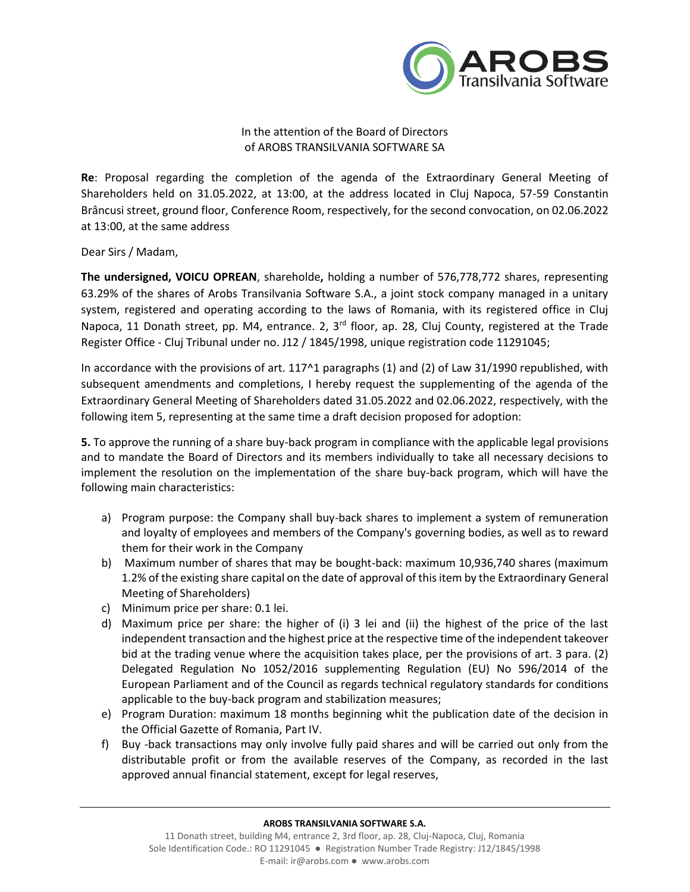

## In the attention of the Board of Directors of AROBS TRANSILVANIA SOFTWARE SA

**Re**: Proposal regarding the completion of the agenda of the Extraordinary General Meeting of Shareholders held on 31.05.2022, at 13:00, at the address located in Cluj Napoca, 57-59 Constantin Brâncusi street, ground floor, Conference Room, respectively, for the second convocation, on 02.06.2022 at 13:00, at the same address

Dear Sirs / Madam,

**The undersigned, VOICU OPREAN**, shareholde**,** holding a number of 576,778,772 shares, representing 63.29% of the shares of Arobs Transilvania Software S.A., a joint stock company managed in a unitary system, registered and operating according to the laws of Romania, with its registered office in Cluj Napoca, 11 Donath street, pp. M4, entrance. 2, 3<sup>rd</sup> floor, ap. 28, Cluj County, registered at the Trade Register Office - Cluj Tribunal under no. J12 / 1845/1998, unique registration code 11291045;

In accordance with the provisions of art. 117^1 paragraphs (1) and (2) of Law 31/1990 republished, with subsequent amendments and completions, I hereby request the supplementing of the agenda of the Extraordinary General Meeting of Shareholders dated 31.05.2022 and 02.06.2022, respectively, with the following item 5, representing at the same time a draft decision proposed for adoption:

**5.** To approve the running of a share buy-back program in compliance with the applicable legal provisions and to mandate the Board of Directors and its members individually to take all necessary decisions to implement the resolution on the implementation of the share buy-back program, which will have the following main characteristics:

- a) Program purpose: the Company shall buy-back shares to implement a system of remuneration and loyalty of employees and members of the Company's governing bodies, as well as to reward them for their work in the Company
- b) Maximum number of shares that may be bought-back: maximum 10,936,740 shares (maximum 1.2% of the existing share capital on the date of approval of this item by the Extraordinary General Meeting of Shareholders)
- c) Minimum price per share: 0.1 lei.
- d) Maximum price per share: the higher of (i) 3 lei and (ii) the highest of the price of the last independent transaction and the highest price at the respective time of the independent takeover bid at the trading venue where the acquisition takes place, per the provisions of art. 3 para. (2) Delegated Regulation No 1052/2016 supplementing Regulation (EU) No 596/2014 of the European Parliament and of the Council as regards technical regulatory standards for conditions applicable to the buy-back program and stabilization measures;
- e) Program Duration: maximum 18 months beginning whit the publication date of the decision in the Official Gazette of Romania, Part IV.
- f) Buy -back transactions may only involve fully paid shares and will be carried out only from the distributable profit or from the available reserves of the Company, as recorded in the last approved annual financial statement, except for legal reserves,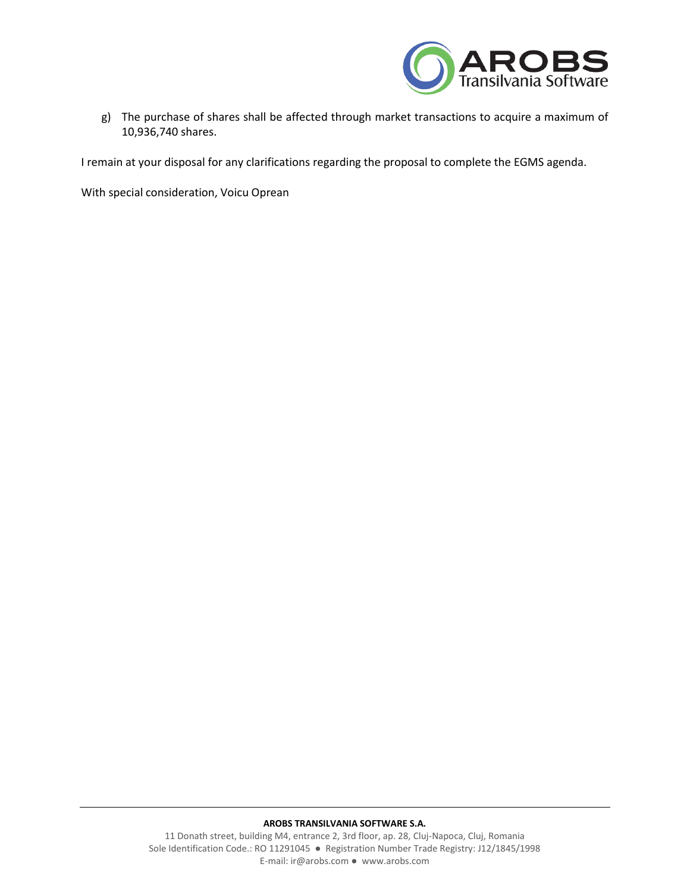

g) The purchase of shares shall be affected through market transactions to acquire a maximum of 10,936,740 shares.

I remain at your disposal for any clarifications regarding the proposal to complete the EGMS agenda.

With special consideration, Voicu Oprean

#### **AROBS TRANSILVANIA SOFTWARE S.A.**

11 Donath street, building M4, entrance 2, 3rd floor, ap. 28, Cluj-Napoca, Cluj, Romania Sole Identification Code.: RO 11291045 ● Registration Number Trade Registry: J12/1845/1998 E-mail: ir@arobs.com ● www.arobs.com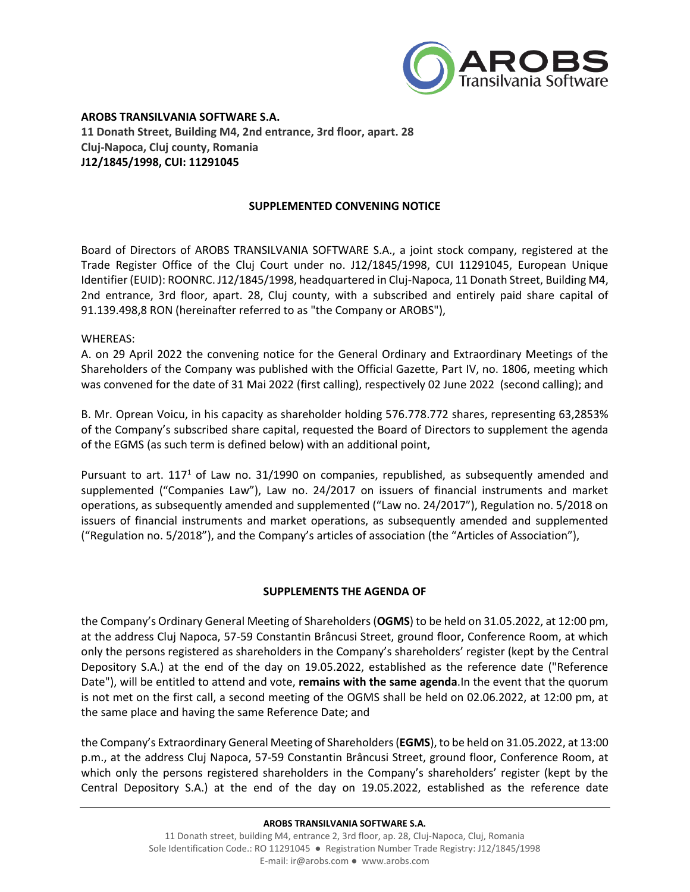

**AROBS TRANSILVANIA SOFTWARE S.A. 11 Donath Street, Building M4, 2nd entrance, 3rd floor, apart. 28 Cluj-Napoca, Cluj county, Romania J12/1845/1998, CUI: 11291045**

## **SUPPLEMENTED CONVENING NOTICE**

Board of Directors of AROBS TRANSILVANIA SOFTWARE S.A., a joint stock company, registered at the Trade Register Office of the Cluj Court under no. J12/1845/1998, CUI 11291045, European Unique Identifier (EUID): ROONRC. J12/1845/1998, headquartered in Cluj-Napoca, 11 Donath Street, Building M4, 2nd entrance, 3rd floor, apart. 28, Cluj county, with a subscribed and entirely paid share capital of 91.139.498,8 RON (hereinafter referred to as "the Company or AROBS"),

### WHEREAS:

A. on 29 April 2022 the convening notice for the General Ordinary and Extraordinary Meetings of the Shareholders of the Company was published with the Official Gazette, Part IV, no. 1806, meeting which was convened for the date of 31 Mai 2022 (first calling), respectively 02 June 2022 (second calling); and

B. Mr. Oprean Voicu, in his capacity as shareholder holding 576.778.772 shares, representing 63,2853% of the Company's subscribed share capital, requested the Board of Directors to supplement the agenda of the EGMS (as such term is defined below) with an additional point,

Pursuant to art.  $117<sup>1</sup>$  of Law no. 31/1990 on companies, republished, as subsequently amended and supplemented ("Companies Law"), Law no. 24/2017 on issuers of financial instruments and market operations, as subsequently amended and supplemented ("Law no. 24/2017"), Regulation no. 5/2018 on issuers of financial instruments and market operations, as subsequently amended and supplemented ("Regulation no. 5/2018"), and the Company's articles of association (the "Articles of Association"),

## **SUPPLEMENTS THE AGENDA OF**

the Company's Ordinary General Meeting of Shareholders (**OGMS**) to be held on 31.05.2022, at 12:00 pm, at the address Cluj Napoca, 57-59 Constantin Brâncusi Street, ground floor, Conference Room, at which only the persons registered as shareholders in the Company's shareholders' register (kept by the Central Depository S.A.) at the end of the day on 19.05.2022, established as the reference date ("Reference Date"), will be entitled to attend and vote, **remains with the same agenda**.In the event that the quorum is not met on the first call, a second meeting of the OGMS shall be held on 02.06.2022, at 12:00 pm, at the same place and having the same Reference Date; and

the Company's Extraordinary General Meeting of Shareholders(**EGMS**), to be held on 31.05.2022, at 13:00 p.m., at the address Cluj Napoca, 57-59 Constantin Brâncusi Street, ground floor, Conference Room, at which only the persons registered shareholders in the Company's shareholders' register (kept by the Central Depository S.A.) at the end of the day on 19.05.2022, established as the reference date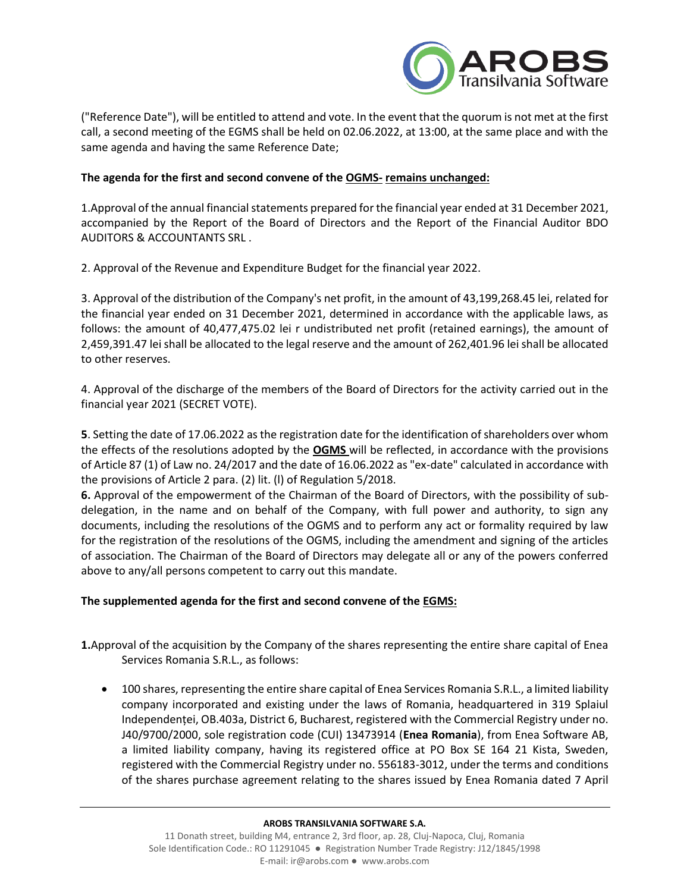

("Reference Date"), will be entitled to attend and vote. In the event that the quorum is not met at the first call, a second meeting of the EGMS shall be held on 02.06.2022, at 13:00, at the same place and with the same agenda and having the same Reference Date;

## **The agenda for the first and second convene of the OGMS- remains unchanged:**

1.Approval of the annual financial statements prepared for the financial year ended at 31 December 2021, accompanied by the Report of the Board of Directors and the Report of the Financial Auditor BDO AUDITORS & ACCOUNTANTS SRL .

2. Approval of the Revenue and Expenditure Budget for the financial year 2022.

3. Approval of the distribution of the Company's net profit, in the amount of 43,199,268.45 lei, related for the financial year ended on 31 December 2021, determined in accordance with the applicable laws, as follows: the amount of 40,477,475.02 lei r undistributed net profit (retained earnings), the amount of 2,459,391.47 lei shall be allocated to the legal reserve and the amount of 262,401.96 lei shall be allocated to other reserves.

4. Approval of the discharge of the members of the Board of Directors for the activity carried out in the financial year 2021 (SECRET VOTE).

**5**. Setting the date of 17.06.2022 as the registration date for the identification of shareholders over whom the effects of the resolutions adopted by the **OGMS** will be reflected, in accordance with the provisions of Article 87 (1) of Law no. 24/2017 and the date of 16.06.2022 as "ex-date" calculated in accordance with the provisions of Article 2 para. (2) lit. (l) of Regulation 5/2018.

**6.** Approval of the empowerment of the Chairman of the Board of Directors, with the possibility of subdelegation, in the name and on behalf of the Company, with full power and authority, to sign any documents, including the resolutions of the OGMS and to perform any act or formality required by law for the registration of the resolutions of the OGMS, including the amendment and signing of the articles of association. The Chairman of the Board of Directors may delegate all or any of the powers conferred above to any/all persons competent to carry out this mandate.

## **The supplemented agenda for the first and second convene of the EGMS:**

**1.**Approval of the acquisition by the Company of the shares representing the entire share capital of Enea Services Romania S.R.L., as follows:

• 100 shares, representing the entire share capital of Enea Services Romania S.R.L., a limited liability company incorporated and existing under the laws of Romania, headquartered in 319 Splaiul Independenței, OB.403a, District 6, Bucharest, registered with the Commercial Registry under no. J40/9700/2000, sole registration code (CUI) 13473914 (**Enea Romania**), from Enea Software AB, a limited liability company, having its registered office at PO Box SE 164 21 Kista, Sweden, registered with the Commercial Registry under no. 556183-3012, under the terms and conditions of the shares purchase agreement relating to the shares issued by Enea Romania dated 7 April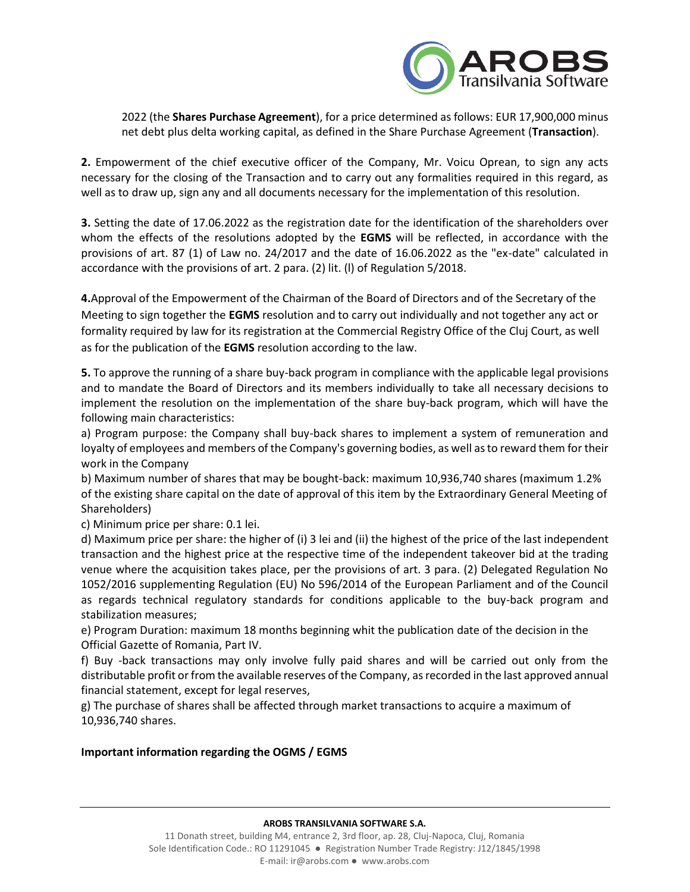

2022 (the **Shares Purchase Agreement**), for a price determined as follows: EUR 17,900,000 minus net debt plus delta working capital, as defined in the Share Purchase Agreement (**Transaction**).

**2.** Empowerment of the chief executive officer of the Company, Mr. Voicu Oprean, to sign any acts necessary for the closing of the Transaction and to carry out any formalities required in this regard, as well as to draw up, sign any and all documents necessary for the implementation of this resolution.

**3.** Setting the date of 17.06.2022 as the registration date for the identification of the shareholders over whom the effects of the resolutions adopted by the **EGMS** will be reflected, in accordance with the provisions of art. 87 (1) of Law no. 24/2017 and the date of 16.06.2022 as the "ex-date" calculated in accordance with the provisions of art. 2 para. (2) lit. (l) of Regulation 5/2018.

**4.**Approval of the Empowerment of the Chairman of the Board of Directors and of the Secretary of the Meeting to sign together the **EGMS** resolution and to carry out individually and not together any act or formality required by law for its registration at the Commercial Registry Office of the Cluj Court, as well as for the publication of the **EGMS** resolution according to the law.

**5.** To approve the running of a share buy-back program in compliance with the applicable legal provisions and to mandate the Board of Directors and its members individually to take all necessary decisions to implement the resolution on the implementation of the share buy-back program, which will have the following main characteristics:

a) Program purpose: the Company shall buy-back shares to implement a system of remuneration and loyalty of employees and members of the Company's governing bodies, as well as to reward them for their work in the Company

b) Maximum number of shares that may be bought-back: maximum 10,936,740 shares (maximum 1.2% of the existing share capital on the date of approval of this item by the Extraordinary General Meeting of Shareholders)

c) Minimum price per share: 0.1 lei.

d) Maximum price per share: the higher of (i) 3 lei and (ii) the highest of the price of the last independent transaction and the highest price at the respective time of the independent takeover bid at the trading venue where the acquisition takes place, per the provisions of art. 3 para. (2) Delegated Regulation No 1052/2016 supplementing Regulation (EU) No 596/2014 of the European Parliament and of the Council as regards technical regulatory standards for conditions applicable to the buy-back program and stabilization measures;

e) Program Duration: maximum 18 months beginning whit the publication date of the decision in the Official Gazette of Romania, Part IV.

f) Buy -back transactions may only involve fully paid shares and will be carried out only from the distributable profit or from the available reserves of the Company, as recorded in the last approved annual financial statement, except for legal reserves,

g) The purchase of shares shall be affected through market transactions to acquire a maximum of 10,936,740 shares.

# **Important information regarding the OGMS / EGMS**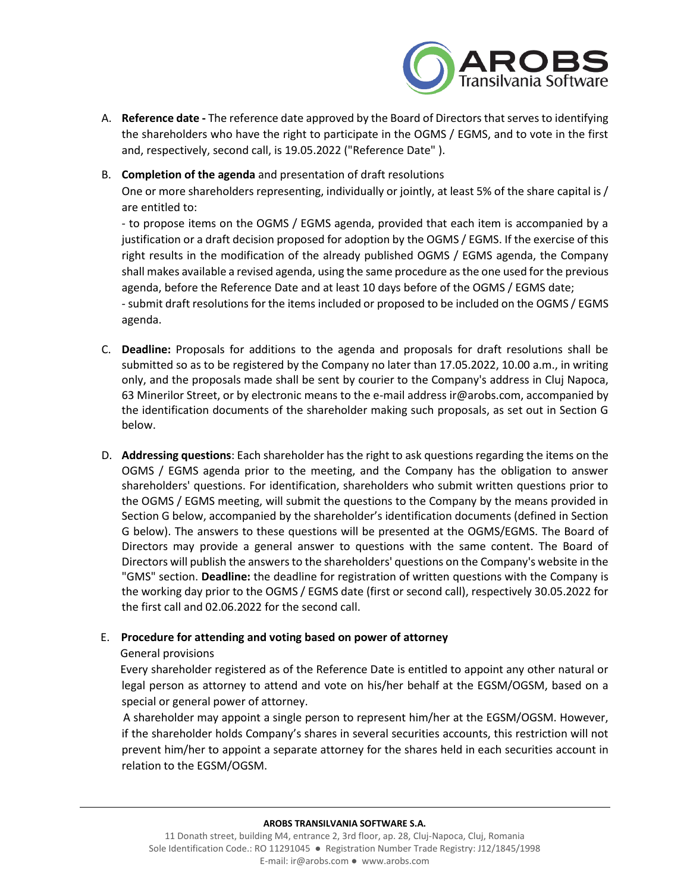

- A. **Reference date -** The reference date approved by the Board of Directors that serves to identifying the shareholders who have the right to participate in the OGMS / EGMS, and to vote in the first and, respectively, second call, is 19.05.2022 ("Reference Date" ).
- B. **Completion of the agenda** and presentation of draft resolutions

One or more shareholders representing, individually or jointly, at least 5% of the share capital is / are entitled to:

- to propose items on the OGMS / EGMS agenda, provided that each item is accompanied by a justification or a draft decision proposed for adoption by the OGMS / EGMS. If the exercise of this right results in the modification of the already published OGMS / EGMS agenda, the Company shall makes available a revised agenda, using the same procedure as the one used for the previous agenda, before the Reference Date and at least 10 days before of the OGMS / EGMS date;

- submit draft resolutions for the items included or proposed to be included on the OGMS / EGMS agenda.

- C. **Deadline:** Proposals for additions to the agenda and proposals for draft resolutions shall be submitted so as to be registered by the Company no later than 17.05.2022, 10.00 a.m., in writing only, and the proposals made shall be sent by courier to the Company's address in Cluj Napoca, 63 Minerilor Street, or by electronic means to the e-mail address ir@arobs.com, accompanied by the identification documents of the shareholder making such proposals, as set out in Section G below.
- D. **Addressing questions**: Each shareholder has the right to ask questions regarding the items on the OGMS / EGMS agenda prior to the meeting, and the Company has the obligation to answer shareholders' questions. For identification, shareholders who submit written questions prior to the OGMS / EGMS meeting, will submit the questions to the Company by the means provided in Section G below, accompanied by the shareholder's identification documents (defined in Section G below). The answers to these questions will be presented at the OGMS/EGMS. The Board of Directors may provide a general answer to questions with the same content. The Board of Directors will publish the answers to the shareholders' questions on the Company's website in the "GMS" section. **Deadline:** the deadline for registration of written questions with the Company is the working day prior to the OGMS / EGMS date (first or second call), respectively 30.05.2022 for the first call and 02.06.2022 for the second call.

## E. **Procedure for attending and voting based on power of attorney**

## General provisions

 Every shareholder registered as of the Reference Date is entitled to appoint any other natural or legal person as attorney to attend and vote on his/her behalf at the EGSM/OGSM, based on a special or general power of attorney.

 A shareholder may appoint a single person to represent him/her at the EGSM/OGSM. However, if the shareholder holds Company's shares in several securities accounts, this restriction will not prevent him/her to appoint a separate attorney for the shares held in each securities account in relation to the EGSM/OGSM.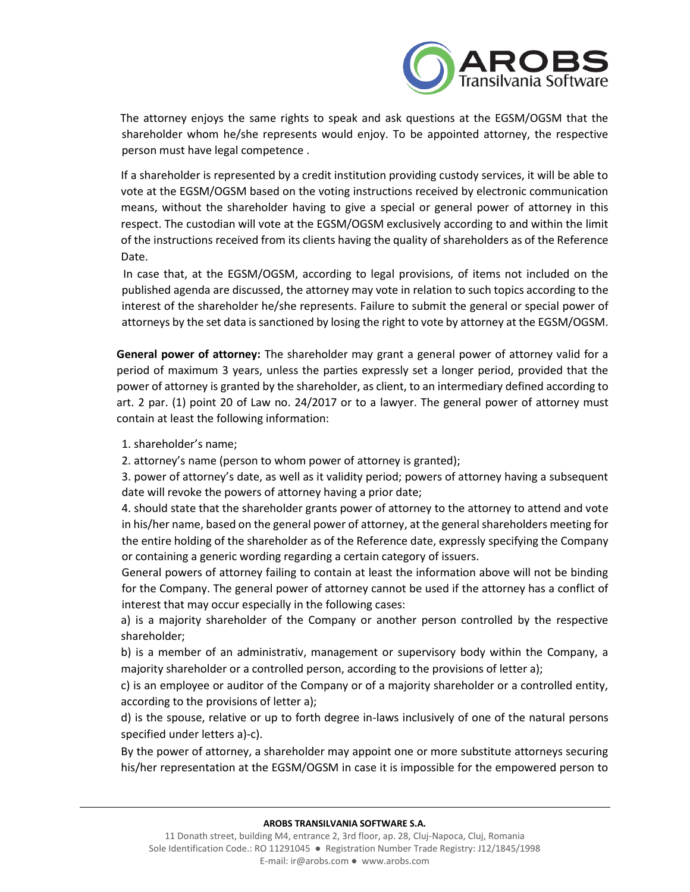

 The attorney enjoys the same rights to speak and ask questions at the EGSM/OGSM that the shareholder whom he/she represents would enjoy. To be appointed attorney, the respective person must have legal competence .

If a shareholder is represented by a credit institution providing custody services, it will be able to vote at the EGSM/OGSM based on the voting instructions received by electronic communication means, without the shareholder having to give a special or general power of attorney in this respect. The custodian will vote at the EGSM/OGSM exclusively according to and within the limit of the instructions received from its clients having the quality of shareholders as of the Reference Date.

 In case that, at the EGSM/OGSM, according to legal provisions, of items not included on the published agenda are discussed, the attorney may vote in relation to such topics according to the interest of the shareholder he/she represents. Failure to submit the general or special power of attorneys by the set data is sanctioned by losing the right to vote by attorney at the EGSM/OGSM.

**General power of attorney:** The shareholder may grant a general power of attorney valid for a period of maximum 3 years, unless the parties expressly set a longer period, provided that the power of attorney is granted by the shareholder, as client, to an intermediary defined according to art. 2 par. (1) point 20 of Law no. 24/2017 or to a lawyer. The general power of attorney must contain at least the following information:

1. shareholder's name;

2. attorney's name (person to whom power of attorney is granted);

3. power of attorney's date, as well as it validity period; powers of attorney having a subsequent date will revoke the powers of attorney having a prior date;

4. should state that the shareholder grants power of attorney to the attorney to attend and vote in his/her name, based on the general power of attorney, at the general shareholders meeting for the entire holding of the shareholder as of the Reference date, expressly specifying the Company or containing a generic wording regarding a certain category of issuers.

General powers of attorney failing to contain at least the information above will not be binding for the Company. The general power of attorney cannot be used if the attorney has a conflict of interest that may occur especially in the following cases:

a) is a majority shareholder of the Company or another person controlled by the respective shareholder;

b) is a member of an administrativ, management or supervisory body within the Company, a majority shareholder or a controlled person, according to the provisions of letter a);

c) is an employee or auditor of the Company or of a majority shareholder or a controlled entity, according to the provisions of letter a);

d) is the spouse, relative or up to forth degree in-laws inclusively of one of the natural persons specified under letters a)-c).

By the power of attorney, a shareholder may appoint one or more substitute attorneys securing his/her representation at the EGSM/OGSM in case it is impossible for the empowered person to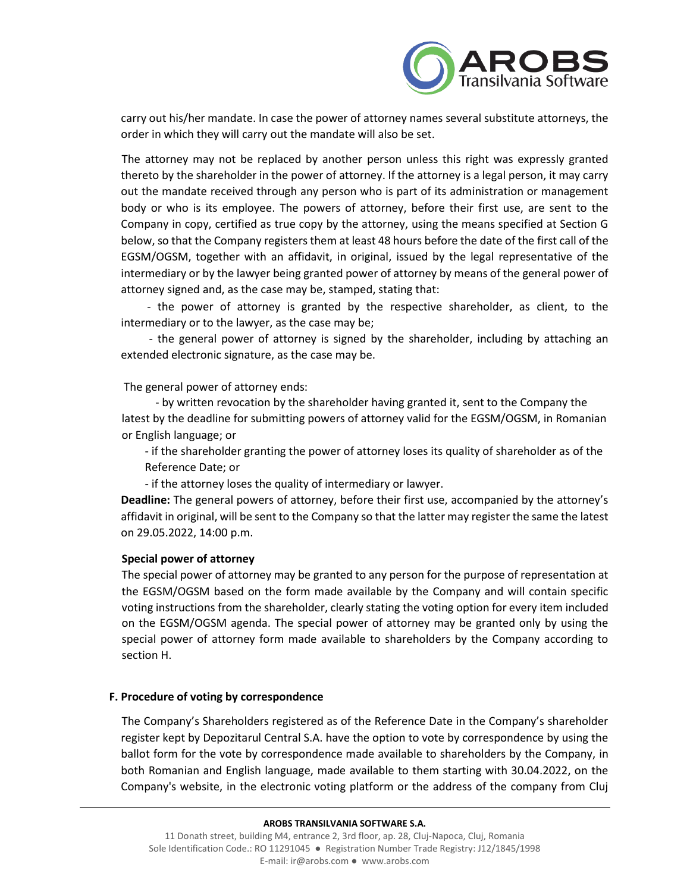

carry out his/her mandate. In case the power of attorney names several substitute attorneys, the order in which they will carry out the mandate will also be set.

The attorney may not be replaced by another person unless this right was expressly granted thereto by the shareholder in the power of attorney. If the attorney is a legal person, it may carry out the mandate received through any person who is part of its administration or management body or who is its employee. The powers of attorney, before their first use, are sent to the Company in copy, certified as true copy by the attorney, using the means specified at Section G below, so that the Company registers them at least 48 hours before the date of the first call of the EGSM/OGSM, together with an affidavit, in original, issued by the legal representative of the intermediary or by the lawyer being granted power of attorney by means of the general power of attorney signed and, as the case may be, stamped, stating that:

 - the power of attorney is granted by the respective shareholder, as client, to the intermediary or to the lawyer, as the case may be;

 - the general power of attorney is signed by the shareholder, including by attaching an extended electronic signature, as the case may be.

The general power of attorney ends:

 - by written revocation by the shareholder having granted it, sent to the Company the latest by the deadline for submitting powers of attorney valid for the EGSM/OGSM, in Romanian or English language; or

- if the shareholder granting the power of attorney loses its quality of shareholder as of the Reference Date; or

- if the attorney loses the quality of intermediary or lawyer.

**Deadline:** The general powers of attorney, before their first use, accompanied by the attorney's affidavit in original, will be sent to the Company so that the latter may register the same the latest on 29.05.2022, 14:00 p.m.

### **Special power of attorney**

The special power of attorney may be granted to any person for the purpose of representation at the EGSM/OGSM based on the form made available by the Company and will contain specific voting instructions from the shareholder, clearly stating the voting option for every item included on the EGSM/OGSM agenda. The special power of attorney may be granted only by using the special power of attorney form made available to shareholders by the Company according to section H.

### **F. Procedure of voting by correspondence**

The Company's Shareholders registered as of the Reference Date in the Company's shareholder register kept by Depozitarul Central S.A. have the option to vote by correspondence by using the ballot form for the vote by correspondence made available to shareholders by the Company, in both Romanian and English language, made available to them starting with 30.04.2022, on the Company's website, in the electronic voting platform or the address of the company from Cluj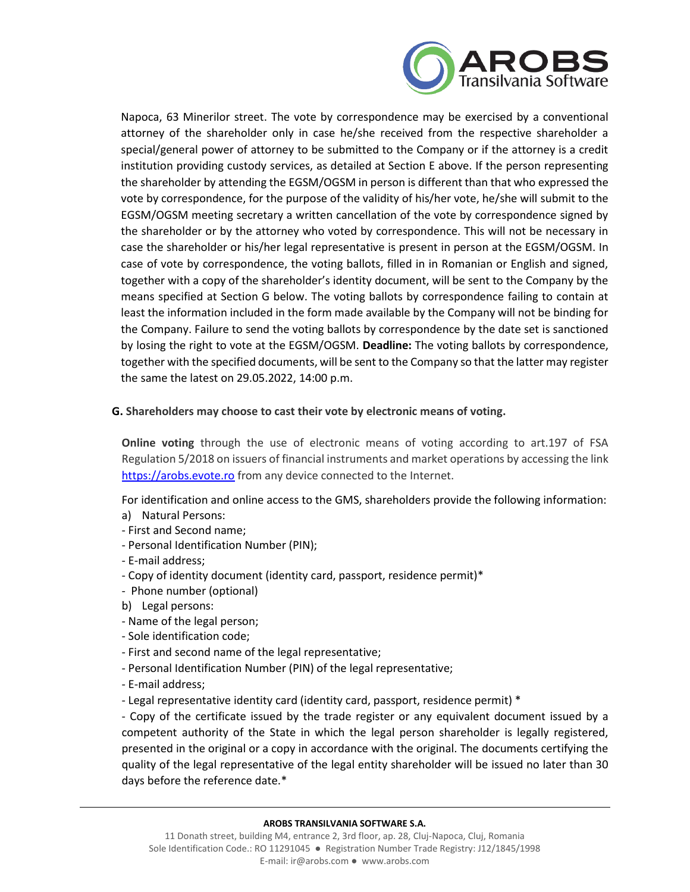

Napoca, 63 Minerilor street. The vote by correspondence may be exercised by a conventional attorney of the shareholder only in case he/she received from the respective shareholder a special/general power of attorney to be submitted to the Company or if the attorney is a credit institution providing custody services, as detailed at Section E above. If the person representing the shareholder by attending the EGSM/OGSM in person is different than that who expressed the vote by correspondence, for the purpose of the validity of his/her vote, he/she will submit to the EGSM/OGSM meeting secretary a written cancellation of the vote by correspondence signed by the shareholder or by the attorney who voted by correspondence. This will not be necessary in case the shareholder or his/her legal representative is present in person at the EGSM/OGSM. In case of vote by correspondence, the voting ballots, filled in in Romanian or English and signed, together with a copy of the shareholder's identity document, will be sent to the Company by the means specified at Section G below. The voting ballots by correspondence failing to contain at least the information included in the form made available by the Company will not be binding for the Company. Failure to send the voting ballots by correspondence by the date set is sanctioned by losing the right to vote at the EGSM/OGSM. **Deadline:** The voting ballots by correspondence, together with the specified documents, will be sent to the Company so that the latter may register the same the latest on 29.05.2022, 14:00 p.m.

## **G. Shareholders may choose to cast their vote by electronic means of voting.**

**Online voting** through the use of electronic means of voting according to art.197 of FSA Regulation 5/2018 on issuers of financial instruments and market operations by accessing the link [https://arobs.evote.ro](https://arobs.evote.ro/) from any device connected to the Internet.

For identification and online access to the GMS, shareholders provide the following information:

- a) Natural Persons:
- First and Second name;
- Personal Identification Number (PIN);
- E-mail address;
- Copy of identity document (identity card, passport, residence permit)\*
- Phone number (optional)
- b) Legal persons:
- Name of the legal person;
- Sole identification code;
- First and second name of the legal representative;
- Personal Identification Number (PIN) of the legal representative;
- E-mail address;
- Legal representative identity card (identity card, passport, residence permit) \*

- Copy of the certificate issued by the trade register or any equivalent document issued by a competent authority of the State in which the legal person shareholder is legally registered, presented in the original or a copy in accordance with the original. The documents certifying the quality of the legal representative of the legal entity shareholder will be issued no later than 30 days before the reference date.\*

#### **AROBS TRANSILVANIA SOFTWARE S.A.**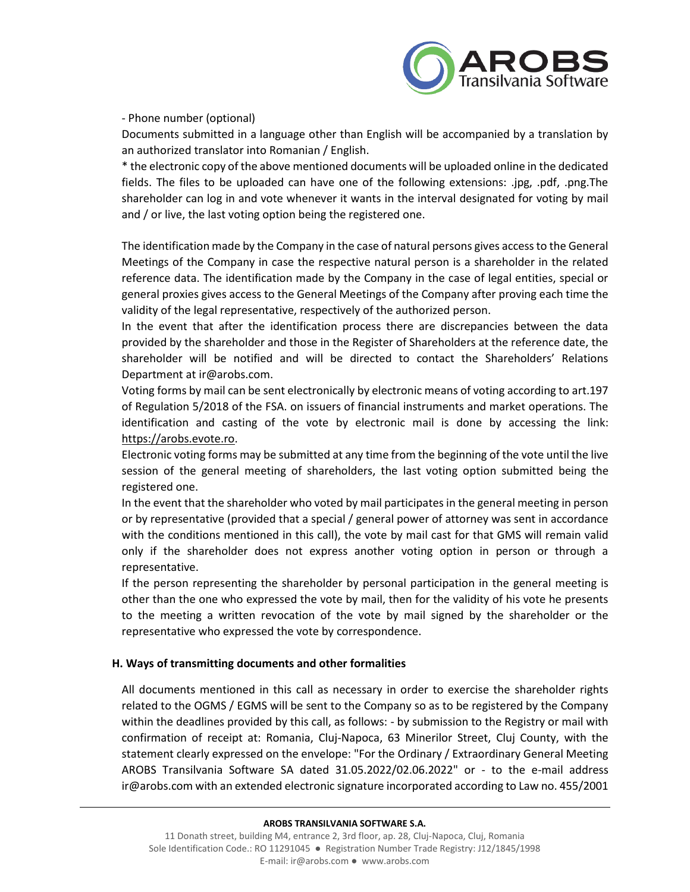

## - Phone number (optional)

Documents submitted in a language other than English will be accompanied by a translation by an authorized translator into Romanian / English.

\* the electronic copy of the above mentioned documents will be uploaded online in the dedicated fields. The files to be uploaded can have one of the following extensions: .jpg, .pdf, .png.The shareholder can log in and vote whenever it wants in the interval designated for voting by mail and / or live, the last voting option being the registered one.

The identification made by the Company in the case of natural persons gives access to the General Meetings of the Company in case the respective natural person is a shareholder in the related reference data. The identification made by the Company in the case of legal entities, special or general proxies gives access to the General Meetings of the Company after proving each time the validity of the legal representative, respectively of the authorized person.

In the event that after the identification process there are discrepancies between the data provided by the shareholder and those in the Register of Shareholders at the reference date, the shareholder will be notified and will be directed to contact the Shareholders' Relations Department at ir@arobs.com.

Voting forms by mail can be sent electronically by electronic means of voting according to art.197 of Regulation 5/2018 of the FSA. on issuers of financial instruments and market operations. The identification and casting of the vote by electronic mail is done by accessing the link: [https://arobs.evote.ro.](https://arobs.evote.ro/)

Electronic voting forms may be submitted at any time from the beginning of the vote until the live session of the general meeting of shareholders, the last voting option submitted being the registered one.

In the event that the shareholder who voted by mail participates in the general meeting in person or by representative (provided that a special / general power of attorney was sent in accordance with the conditions mentioned in this call), the vote by mail cast for that GMS will remain valid only if the shareholder does not express another voting option in person or through a representative.

If the person representing the shareholder by personal participation in the general meeting is other than the one who expressed the vote by mail, then for the validity of his vote he presents to the meeting a written revocation of the vote by mail signed by the shareholder or the representative who expressed the vote by correspondence.

## **H. Ways of transmitting documents and other formalities**

All documents mentioned in this call as necessary in order to exercise the shareholder rights related to the OGMS / EGMS will be sent to the Company so as to be registered by the Company within the deadlines provided by this call, as follows: - by submission to the Registry or mail with confirmation of receipt at: Romania, Cluj-Napoca, 63 Minerilor Street, Cluj County, with the statement clearly expressed on the envelope: "For the Ordinary / Extraordinary General Meeting AROBS Transilvania Software SA dated 31.05.2022/02.06.2022" or - to the e-mail address ir@arobs.com with an extended electronic signature incorporated according to Law no. 455/2001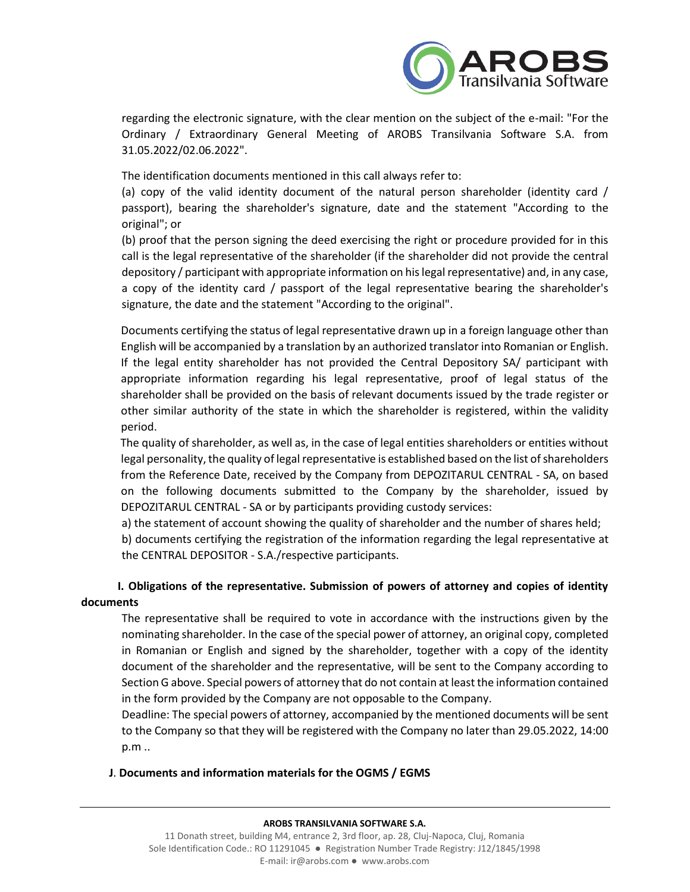

regarding the electronic signature, with the clear mention on the subject of the e-mail: "For the Ordinary / Extraordinary General Meeting of AROBS Transilvania Software S.A. from 31.05.2022/02.06.2022".

The identification documents mentioned in this call always refer to:

(a) copy of the valid identity document of the natural person shareholder (identity card / passport), bearing the shareholder's signature, date and the statement "According to the original"; or

(b) proof that the person signing the deed exercising the right or procedure provided for in this call is the legal representative of the shareholder (if the shareholder did not provide the central depository / participant with appropriate information on his legal representative) and, in any case, a copy of the identity card / passport of the legal representative bearing the shareholder's signature, the date and the statement "According to the original".

Documents certifying the status of legal representative drawn up in a foreign language other than English will be accompanied by a translation by an authorized translator into Romanian or English. If the legal entity shareholder has not provided the Central Depository SA/ participant with appropriate information regarding his legal representative, proof of legal status of the shareholder shall be provided on the basis of relevant documents issued by the trade register or other similar authority of the state in which the shareholder is registered, within the validity period.

 The quality of shareholder, as well as, in the case of legal entities shareholders or entities without legal personality, the quality of legal representative is established based on the list of shareholders from the Reference Date, received by the Company from DEPOZITARUL CENTRAL - SA, on based on the following documents submitted to the Company by the shareholder, issued by DEPOZITARUL CENTRAL - SA or by participants providing custody services:

a) the statement of account showing the quality of shareholder and the number of shares held;

b) documents certifying the registration of the information regarding the legal representative at the CENTRAL DEPOSITOR - S.A./respective participants.

# **I. Obligations of the representative. Submission of powers of attorney and copies of identity documents**

The representative shall be required to vote in accordance with the instructions given by the nominating shareholder. In the case of the special power of attorney, an original copy, completed in Romanian or English and signed by the shareholder, together with a copy of the identity document of the shareholder and the representative, will be sent to the Company according to Section G above. Special powers of attorney that do not contain at least the information contained in the form provided by the Company are not opposable to the Company.

Deadline: The special powers of attorney, accompanied by the mentioned documents will be sent to the Company so that they will be registered with the Company no later than 29.05.2022, 14:00 p.m ..

## **J**. **Documents and information materials for the OGMS / EGMS**